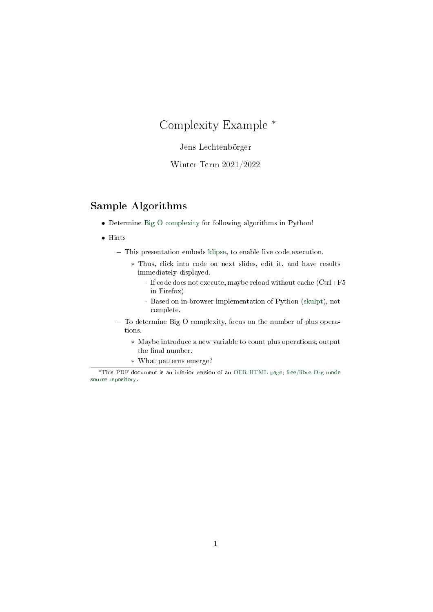# Complexity Example <sup>∗</sup>

Jens Lechtenbörger

Winter Term 2021/2022

### Sample Algorithms

- Determine [Big O complexity](https://en.wikipedia.org/wiki/Big_O_notation) for following algorithms in Python!
- Hints
	- This presentation embeds [klipse,](https://github.com/viebel/klipse) to enable live code execution.
		- ∗ Thus, click into code on next slides, edit it, and have results immediately displayed.
			- · If code does not execute, maybe reload without cache (Ctrl+F5 in Firefox)
			- · Based on in-browser implementation of Python [\(skulpt\)](http://skulpt.org/), not complete.
	- To determine Big O complexity, focus on the number of plus operations.
		- ∗ Maybe introduce a new variable to count plus operations; output the final number.
		- ∗ What patterns emerge?

<sup>∗</sup>This PDF document is an inferior version of an [OER HTML page;](https://oer.gitlab.io/misc/Complexity-Example.html) [free/libre Org mode](https://gitlab.com/oer/misc) [source repository.](https://gitlab.com/oer/misc)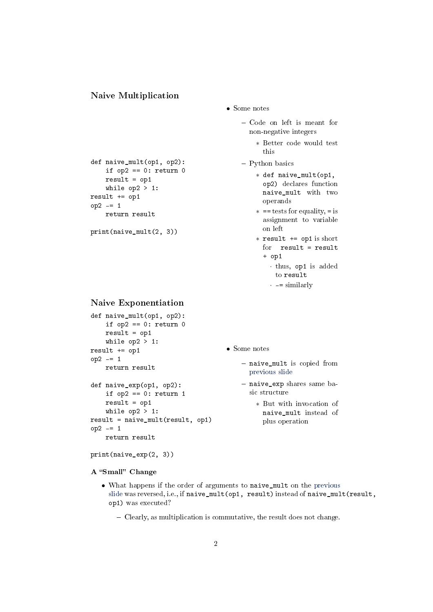#### <span id="page-1-0"></span>Naive Multiplication

def naive\_mult(op1, op2): if  $op2 == 0$ : return 0

> result =  $op1$ while  $op2 > 1$ :

return result

print(naive\_mult(2, 3))

result += op1 op2 -= 1

- Some notes
	- Code on left is meant for non-negative integers
		- ∗ Better code would test this
	- Python basics
		- ∗ def naive\_mult(op1, op2) declares function naive\_mult with two operands
		- ∗ == tests for equality, = is assignment to variable on left
		- ∗ result += op1 is short for result = result + op1
			- · thus, op1 is added to result
			- $\cdot$  -= similarly

### <span id="page-1-1"></span>Naive Exponentiation

```
def naive_mult(op1, op2):
    if op2 == 0: return 0
    result = op1while op2 > 1:
result += op1
op2 -= 1
   return result
def naive_exp(op1, op2):
    if op2 == 0: return 1
   result = op1while op2 > 1:
result = naive\_mult(result, op1)op2 = 1return result
```
print(naive\_exp(2, 3))

A "Small" Change

```
• Some notes
```
- naive\_mult is copied from [previous slide](#page-1-0)
- naive\_exp shares same basic structure
	- ∗ But with invocation of naive\_mult instead of plus operation
- What happens if the order of arguments to naive\_mult on the [previous](#page-1-1) [slide](#page-1-1) was reversed, i.e., if naive\_mult(op1, result) instead of naive\_mult(result, op1) was executed?
	- Clearly, as multiplication is commutative, the result does not change.